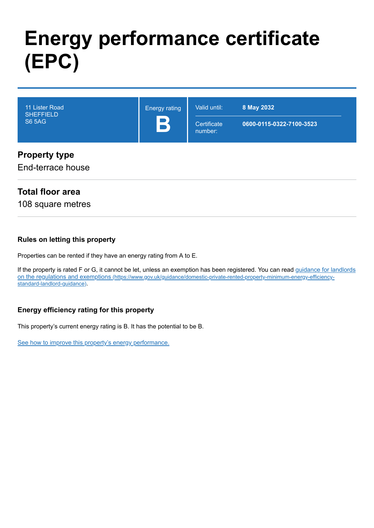# **Energy performance certificate (EPC)**

| 11 Lister Road<br><b>SHEFFIELD</b><br><b>S6 5AG</b> | <b>Energy rating</b><br>B | Valid until:<br>Certificate<br>number: | 8 May 2032<br>0600-0115-0322-7100-3523 |
|-----------------------------------------------------|---------------------------|----------------------------------------|----------------------------------------|
| <b>Property type</b><br>End-terrace house           |                           |                                        |                                        |

# **Total floor area**

108 square metres

#### **Rules on letting this property**

Properties can be rented if they have an energy rating from A to E.

[If the property is rated F or G, it cannot be let, unless an exemption has been registered. You can read guidance for landlords](https://www.gov.uk/guidance/domestic-private-rented-property-minimum-energy-efficiency-standard-landlord-guidance) on the regulations and exemptions (https://www.gov.uk/guidance/domestic-private-rented-property-minimum-energy-efficiencystandard-landlord-guidance).

## **Energy efficiency rating for this property**

This property's current energy rating is B. It has the potential to be B.

[See how to improve this property's energy performance.](#page-3-0)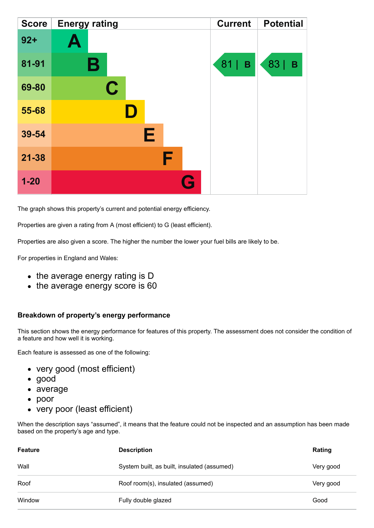| <b>Score</b> | <b>Energy rating</b> | <b>Current</b> | <b>Potential</b> |
|--------------|----------------------|----------------|------------------|
| $92 +$       | Ą                    |                |                  |
| 81-91        | В                    | 81<br>B        | 83  <br>B        |
| 69-80        | C                    |                |                  |
| 55-68        |                      |                |                  |
| 39-54        | E                    |                |                  |
| $21 - 38$    | F                    |                |                  |
| $1 - 20$     | Q                    |                |                  |

The graph shows this property's current and potential energy efficiency.

Properties are given a rating from A (most efficient) to G (least efficient).

Properties are also given a score. The higher the number the lower your fuel bills are likely to be.

For properties in England and Wales:

- the average energy rating is D
- the average energy score is 60

#### **Breakdown of property's energy performance**

This section shows the energy performance for features of this property. The assessment does not consider the condition of a feature and how well it is working.

Each feature is assessed as one of the following:

- very good (most efficient)
- good
- average
- poor
- very poor (least efficient)

When the description says "assumed", it means that the feature could not be inspected and an assumption has been made based on the property's age and type.

| <b>Feature</b> | <b>Description</b>                          | Rating    |
|----------------|---------------------------------------------|-----------|
| Wall           | System built, as built, insulated (assumed) | Very good |
| Roof           | Roof room(s), insulated (assumed)           | Very good |
| Window         | Fully double glazed                         | Good      |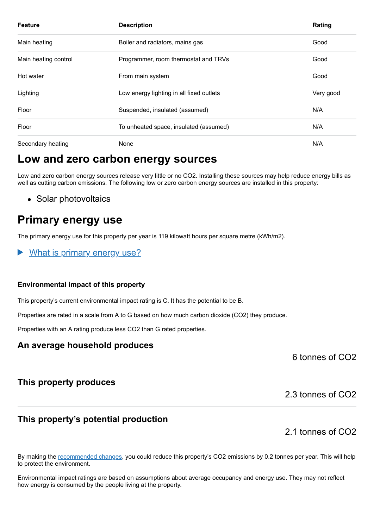| <b>Feature</b>       | <b>Description</b>                       | Rating    |
|----------------------|------------------------------------------|-----------|
| Main heating         | Boiler and radiators, mains gas          | Good      |
| Main heating control | Programmer, room thermostat and TRVs     | Good      |
| Hot water            | From main system                         | Good      |
| Lighting             | Low energy lighting in all fixed outlets | Very good |
| Floor                | Suspended, insulated (assumed)           | N/A       |
| Floor                | To unheated space, insulated (assumed)   | N/A       |
| Secondary heating    | None                                     | N/A       |

# **Low and zero carbon energy sources**

Low and zero carbon energy sources release very little or no CO2. Installing these sources may help reduce energy bills as well as cutting carbon emissions. The following low or zero carbon energy sources are installed in this property:

• Solar photovoltaics

# **Primary energy use**

The primary energy use for this property per year is 119 kilowatt hours per square metre (kWh/m2).

What is primary energy use?

#### **Environmental impact of this property**

This property's current environmental impact rating is C. It has the potential to be B.

Properties are rated in a scale from A to G based on how much carbon dioxide (CO2) they produce.

Properties with an A rating produce less CO2 than G rated properties.

# **An average household produces**

6 tonnes of CO2

# **This property produces**

2.3 tonnes of CO2

# **This property's potential production**

2.1 tonnes of CO2

By making the [recommended changes,](#page-3-0) you could reduce this property's CO2 emissions by 0.2 tonnes per year. This will help to protect the environment.

Environmental impact ratings are based on assumptions about average occupancy and energy use. They may not reflect how energy is consumed by the people living at the property.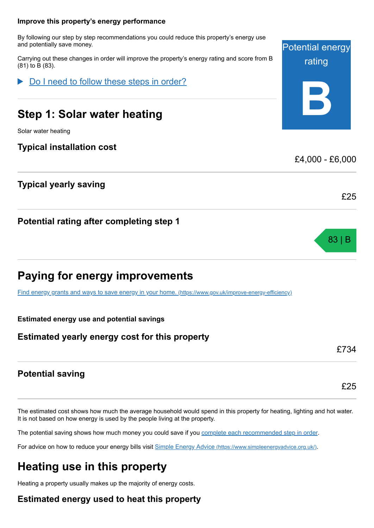#### <span id="page-3-0"></span>**Improve this property's energy performance**

By following our step by step recommendations you could reduce this property's energy use and potentially save money.

Carrying out these changes in order will improve the property's energy rating and score from B (81) to B (83).

Do I need to follow these steps in order?

# **Step 1: Solar water heating**

Solar water heating

# **Typical installation cost**

# **Typical yearly saving**

**Potential rating after completing step 1**

# **Paying for energy improvements**

[Find energy grants and ways to save energy in your home.](https://www.gov.uk/improve-energy-efficiency) (https://www.gov.uk/improve-energy-efficiency)

#### **Estimated energy use and potential savings**

## **Estimated yearly energy cost for this property**

# **Potential saving**

The estimated cost shows how much the average household would spend in this property for heating, lighting and hot water. It is not based on how energy is used by the people living at the property.

The potential saving shows how much money you could save if you [complete each recommended step in order](#page-3-0).

For advice on how to reduce your energy bills visit Simple Energy Advice [\(https://www.simpleenergyadvice.org.uk/\)](https://www.simpleenergyadvice.org.uk/).

# **Heating use in this property**

Heating a property usually makes up the majority of energy costs.

# **Estimated energy used to heat this property**



£4,000 - £6,000

83 | B

£25

£734

£25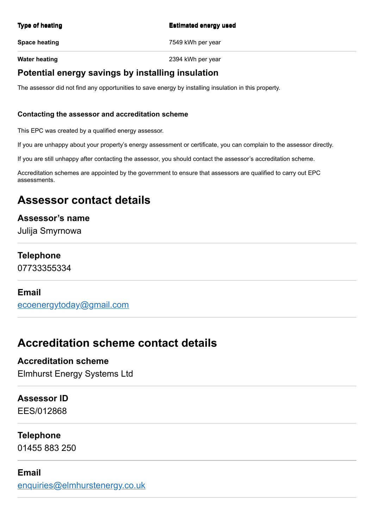#### **Type of heating Estimated energy used**

**Space heating The Space heating 1999 and Space heating 1999 and 2009 and 2009 and 2009 and 2009 and 2009 and 2009 and 2009 and 2009 and 2009 and 2009 and 2009 and 2009 and 2009 and 2009 and 2009 and 2009 and 2009 and 2009** 

**Water heating Water heating 2394 kWh** per year

# **Potential energy savings by installing insulation**

The assessor did not find any opportunities to save energy by installing insulation in this property.

#### **Contacting the assessor and accreditation scheme**

This EPC was created by a qualified energy assessor.

If you are unhappy about your property's energy assessment or certificate, you can complain to the assessor directly.

If you are still unhappy after contacting the assessor, you should contact the assessor's accreditation scheme.

Accreditation schemes are appointed by the government to ensure that assessors are qualified to carry out EPC assessments.

# **Assessor contact details**

## **Assessor's name**

Julija Smyrnowa

## **Telephone**

07733355334

## **Email**

[ecoenergytoday@gmail.com](mailto:ecoenergytoday@gmail.com)

# **Accreditation scheme contact details**

# **Accreditation scheme**

Elmhurst Energy Systems Ltd

# **Assessor ID**

EES/012868

# **Telephone**

01455 883 250

## **Email**

[enquiries@elmhurstenergy.co.uk](mailto:enquiries@elmhurstenergy.co.uk)